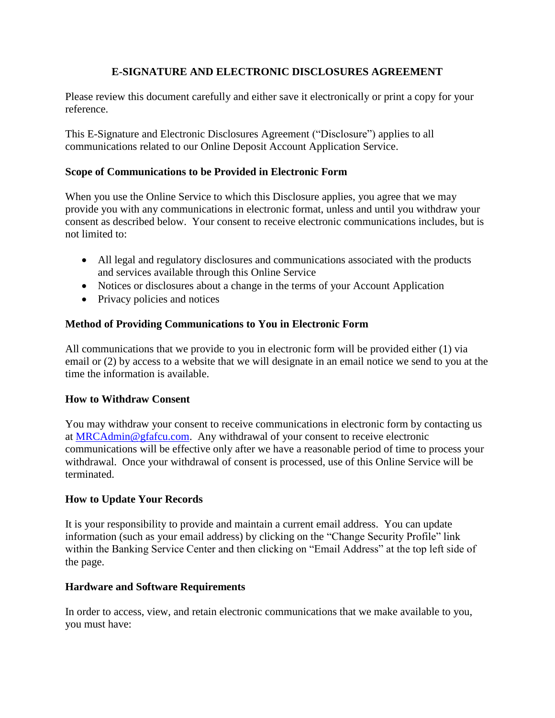# **E-SIGNATURE AND ELECTRONIC DISCLOSURES AGREEMENT**

Please review this document carefully and either save it electronically or print a copy for your reference.

This E-Signature and Electronic Disclosures Agreement ("Disclosure") applies to all communications related to our Online Deposit Account Application Service.

#### **Scope of Communications to be Provided in Electronic Form**

When you use the Online Service to which this Disclosure applies, you agree that we may provide you with any communications in electronic format, unless and until you withdraw your consent as described below. Your consent to receive electronic communications includes, but is not limited to:

- All legal and regulatory disclosures and communications associated with the products and services available through this Online Service
- Notices or disclosures about a change in the terms of your Account Application
- Privacy policies and notices

## **Method of Providing Communications to You in Electronic Form**

All communications that we provide to you in electronic form will be provided either (1) via email or (2) by access to a website that we will designate in an email notice we send to you at the time the information is available.

## **How to Withdraw Consent**

You may withdraw your consent to receive communications in electronic form by contacting us at [MRCAdmin@gfafcu.com.](mailto:MRCAdmin@gfafcu.com) Any withdrawal of your consent to receive electronic communications will be effective only after we have a reasonable period of time to process your withdrawal. Once your withdrawal of consent is processed, use of this Online Service will be terminated.

## **How to Update Your Records**

It is your responsibility to provide and maintain a current email address. You can update information (such as your email address) by clicking on the "Change Security Profile" link within the Banking Service Center and then clicking on "Email Address" at the top left side of the page.

## **Hardware and Software Requirements**

In order to access, view, and retain electronic communications that we make available to you, you must have: